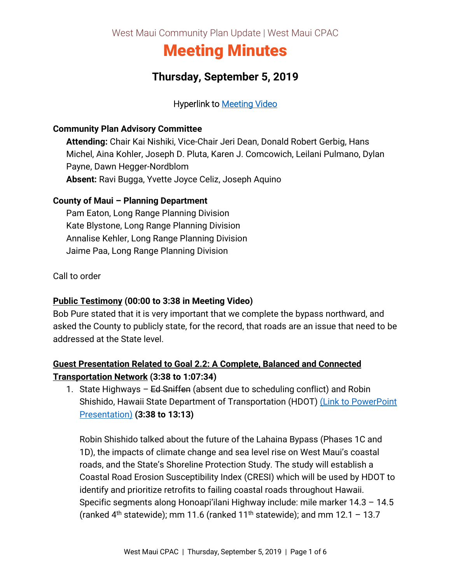West Maui Community Plan Update | West Maui CPAC

# Meeting Minutes

## **Thursday, September 5, 2019**

### Hyperlink to [Meeting Video](https://archive.org/190905-cpac)

#### **Community Plan Advisory Committee**

**Attending:** Chair Kai Nishiki, Vice-Chair Jeri Dean, Donald Robert Gerbig, Hans Michel, Aina Kohler, Joseph D. Pluta, Karen J. Comcowich, Leilani Pulmano, Dylan Payne, Dawn Hegger-Nordblom **Absent:** Ravi Bugga, Yvette Joyce Celiz, Joseph Aquino

#### **County of Maui – Planning Department**

Pam Eaton, Long Range Planning Division Kate Blystone, Long Range Planning Division Annalise Kehler, Long Range Planning Division Jaime Paa, Long Range Planning Division

Call to order

#### **Public Testimony (00:00 to 3:38 in Meeting Video)**

Bob Pure stated that it is very important that we complete the bypass northward, and asked the County to publicly state, for the record, that roads are an issue that need to be addressed at the State level.

## **Guest Presentation Related to Goal 2.2: A Complete, Balanced and Connected Transportation Network (3:38 to 1:07:34)**

1. State Highways  $-$  Ed Sniffen (absent due to scheduling conflict) and Robin Shishido, Hawaii State Department of Transportation (HDOT) (Link to PowerPoint [Presentation\)](https://wearemaui.konveio.com/sites/wearemaui.konveio.com/files/u14/9.5.19%20Guest%20Presentation%20-%20State%20Highways.pdf) **(3:38 to 13:13)**

Robin Shishido talked about the future of the Lahaina Bypass (Phases 1C and 1D), the impacts of climate change and sea level rise on West Maui's coastal roads, and the State's Shoreline Protection Study. The study will establish a Coastal Road Erosion Susceptibility Index (CRESI) which will be used by HDOT to identify and prioritize retrofits to failing coastal roads throughout Hawaii. Specific segments along Honoapi'ilani Highway include: mile marker 14.3 – 14.5 (ranked  $4<sup>th</sup>$  statewide); mm 11.6 (ranked 11<sup>th</sup> statewide); and mm 12.1 – 13.7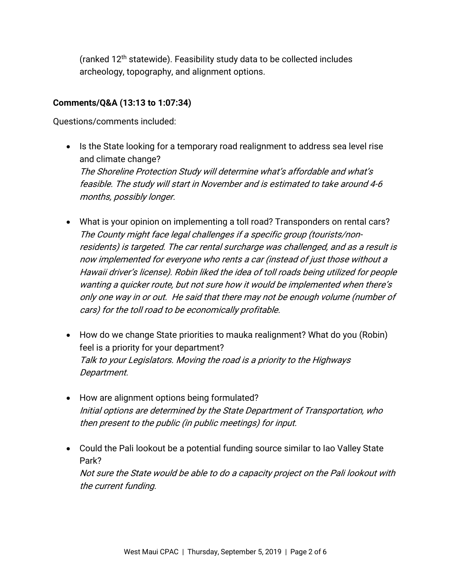(ranked 12th statewide). Feasibility study data to be collected includes archeology, topography, and alignment options.

#### **Comments/Q&A (13:13 to 1:07:34)**

Questions/comments included:

- Is the State looking for a temporary road realignment to address sea level rise and climate change? The Shoreline Protection Study will determine what's affordable and what's feasible. The study will start in November and is estimated to take around 4-6 months, possibly longer.
- What is your opinion on implementing a toll road? Transponders on rental cars? The County might face legal challenges if a specific group (tourists/nonresidents) is targeted. The car rental surcharge was challenged, and as a result is now implemented for everyone who rents a car (instead of just those without a Hawaii driver's license). Robin liked the idea of toll roads being utilized for people wanting a quicker route, but not sure how it would be implemented when there's only one way in or out. He said that there may not be enough volume (number of cars) for the toll road to be economically profitable.
- How do we change State priorities to mauka realignment? What do you (Robin) feel is a priority for your department? Talk to your Legislators. Moving the road is a priority to the Highways Department.
- How are alignment options being formulated? Initial options are determined by the State Department of Transportation, who then present to the public (in public meetings) for input.
- Could the Pali lookout be a potential funding source similar to Iao Valley State Park?

Not sure the State would be able to do a capacity project on the Pali lookout with the current funding.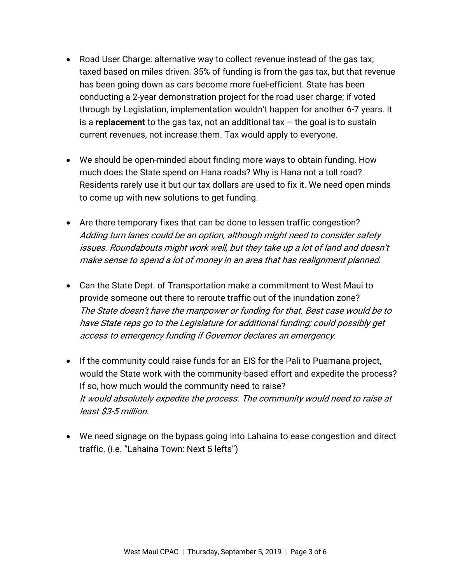- Road User Charge: alternative way to collect revenue instead of the gas tax; taxed based on miles driven. 35% of funding is from the gas tax, but that revenue has been going down as cars become more fuel-efficient. State has been conducting a 2-year demonstration project for the road user charge; if voted through by Legislation, implementation wouldn't happen for another 6-7 years. It is a **replacement** to the gas tax, not an additional tax – the goal is to sustain current revenues, not increase them. Tax would apply to everyone.
- We should be open-minded about finding more ways to obtain funding. How much does the State spend on Hana roads? Why is Hana not a toll road? Residents rarely use it but our tax dollars are used to fix it. We need open minds to come up with new solutions to get funding.
- Are there temporary fixes that can be done to lessen traffic congestion? Adding turn lanes could be an option, although might need to consider safety issues. Roundabouts might work well, but they take up a lot of land and doesn't make sense to spend a lot of money in an area that has realignment planned.
- Can the State Dept. of Transportation make a commitment to West Maui to provide someone out there to reroute traffic out of the inundation zone? The State doesn't have the manpower or funding for that. Best case would be to have State reps go to the Legislature for additional funding; could possibly get access to emergency funding if Governor declares an emergency.
- If the community could raise funds for an EIS for the Pali to Puamana project, would the State work with the community-based effort and expedite the process? If so, how much would the community need to raise? It would absolutely expedite the process. The community would need to raise at least \$3-5 million.
- We need signage on the bypass going into Lahaina to ease congestion and direct traffic. (i.e. "Lahaina Town: Next 5 lefts")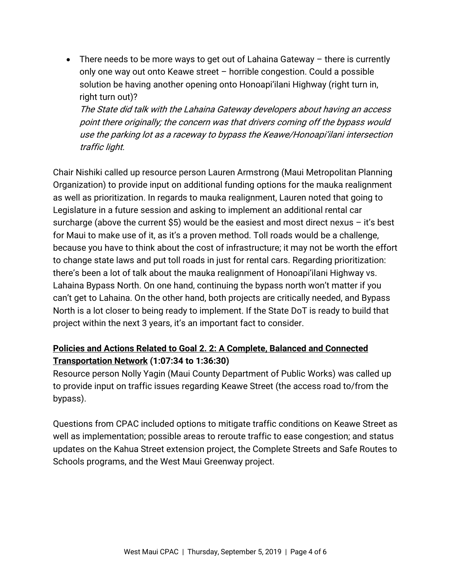• There needs to be more ways to get out of Lahaina Gateway – there is currently only one way out onto Keawe street – horrible congestion. Could a possible solution be having another opening onto Honoapi'ilani Highway (right turn in, right turn out)?

The State did talk with the Lahaina Gateway developers about having an access point there originally; the concern was that drivers coming off the bypass would use the parking lot as a raceway to bypass the Keawe/Honoapi'ilani intersection traffic light.

Chair Nishiki called up resource person Lauren Armstrong (Maui Metropolitan Planning Organization) to provide input on additional funding options for the mauka realignment as well as prioritization. In regards to mauka realignment, Lauren noted that going to Legislature in a future session and asking to implement an additional rental car surcharge (above the current  $$5$ ) would be the easiest and most direct nexus – it's best for Maui to make use of it, as it's a proven method. Toll roads would be a challenge, because you have to think about the cost of infrastructure; it may not be worth the effort to change state laws and put toll roads in just for rental cars. Regarding prioritization: there's been a lot of talk about the mauka realignment of Honoapi'ilani Highway vs. Lahaina Bypass North. On one hand, continuing the bypass north won't matter if you can't get to Lahaina. On the other hand, both projects are critically needed, and Bypass North is a lot closer to being ready to implement. If the State DoT is ready to build that project within the next 3 years, it's an important fact to consider.

## **Policies and Actions Related to Goal 2. 2: A Complete, Balanced and Connected Transportation Network (1:07:34 to 1:36:30)**

Resource person Nolly Yagin (Maui County Department of Public Works) was called up to provide input on traffic issues regarding Keawe Street (the access road to/from the bypass).

Questions from CPAC included options to mitigate traffic conditions on Keawe Street as well as implementation; possible areas to reroute traffic to ease congestion; and status updates on the Kahua Street extension project, the Complete Streets and Safe Routes to Schools programs, and the West Maui Greenway project.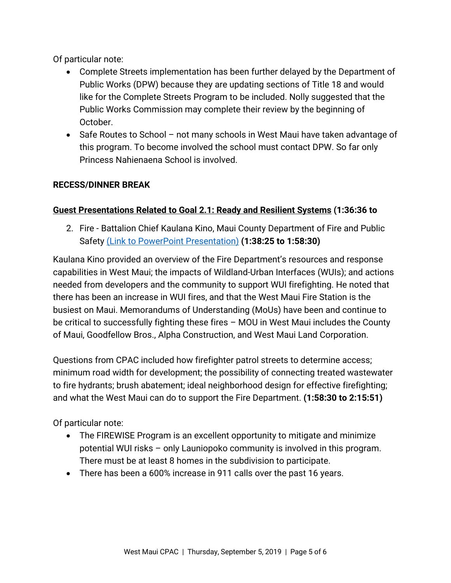Of particular note:

- Complete Streets implementation has been further delayed by the Department of Public Works (DPW) because they are updating sections of Title 18 and would like for the Complete Streets Program to be included. Nolly suggested that the Public Works Commission may complete their review by the beginning of October.
- Safe Routes to School not many schools in West Maui have taken advantage of this program. To become involved the school must contact DPW. So far only Princess Nahienaena School is involved.

## **RECESS/DINNER BREAK**

## **Guest Presentations Related to Goal 2.1: Ready and Resilient Systems (1:36:36 to**

2. Fire - Battalion Chief Kaulana Kino, Maui County Department of Fire and Public Safety [\(Link to PowerPoint Presentation\)](https://wearemaui.konveio.com/sites/wearemaui.konveio.com/files/u14/9.5.19%20Guest%20Presentation%20-%20Fire.pdf) **(1:38:25 to 1:58:30)**

Kaulana Kino provided an overview of the Fire Department's resources and response capabilities in West Maui; the impacts of Wildland-Urban Interfaces (WUIs); and actions needed from developers and the community to support WUI firefighting. He noted that there has been an increase in WUI fires, and that the West Maui Fire Station is the busiest on Maui. Memorandums of Understanding (MoUs) have been and continue to be critical to successfully fighting these fires – MOU in West Maui includes the County of Maui, Goodfellow Bros., Alpha Construction, and West Maui Land Corporation.

Questions from CPAC included how firefighter patrol streets to determine access; minimum road width for development; the possibility of connecting treated wastewater to fire hydrants; brush abatement; ideal neighborhood design for effective firefighting; and what the West Maui can do to support the Fire Department. **(1:58:30 to 2:15:51)** 

Of particular note:

- The FIREWISE Program is an excellent opportunity to mitigate and minimize potential WUI risks – only Launiopoko community is involved in this program. There must be at least 8 homes in the subdivision to participate.
- There has been a 600% increase in 911 calls over the past 16 years.